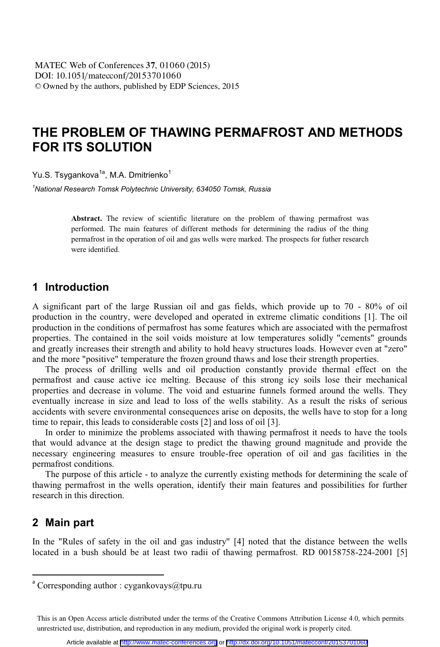# **THE PROBLEM OF THAWING PERMAFROST AND METHODS FOR ITS SOLUTION**

Yu.S. Tsygankova<sup>1a</sup>, M.A. Dmitrienko<sup>1</sup>

*1 National Research Tomsk Polytechnic University, 634050 Tomsk, Russia* 

**Abstract.** The review of scientific literature on the problem of thawing permafrost was performed. The main features of different methods for determining the radius of the thing permafrost in the operation of oil and gas wells were marked. The prospects for futher research were identified.

### **1 Introduction**

A significant part of the large Russian oil and gas fields, which provide up to 70 - 80% of oil production in the country, were developed and operated in extreme climatic conditions [1]. The oil production in the conditions of permafrost has some features which are associated with the permafrost properties. The contained in the soil voids moisture at low temperatures solidly "cements" grounds and greatly increases their strength and ability to hold heavy structures loads. However even at "zero" and the more "positive" temperature the frozen ground thaws and lose their strength properties.

The process of drilling wells and oil production constantly provide thermal effect on the permafrost and cause active ice melting. Because of this strong icy soils lose their mechanical properties and decrease in volume. The void and estuarine funnels formed around the wells. They eventually increase in size and lead to loss of the wells stability. As a result the risks of serious accidents with severe environmental consequences arise on deposits, the wells have to stop for a long time to repair, this leads to considerable costs [2] and loss of oil [3].

In order to minimize the problems associated with thawing permafrost it needs to have the tools that would advance at the design stage to predict the thawing ground magnitude and provide the necessary engineering measures to ensure trouble-free operation of oil and gas facilities in the permafrost conditions.

The purpose of this article - to analyze the currently existing methods for determining the scale of thawing permafrost in the wells operation, identify their main features and possibilities for further research in this direction.

### **2 Main part**

 $\overline{a}$ 

In the "Rules of safety in the oil and gas industry" [4] noted that the distance between the wells located in a bush should be at least two radii of thawing permafrost. RD 00158758-224-2001 [5]

 $\alpha$  Corresponding author : cygankovays@tpu.ru

This is an Open Access article distributed under the terms of the Creative Commons Attribution License 4.0, which permits unrestricted use, distribution, and reproduction in any medium, provided the original work is properly cited.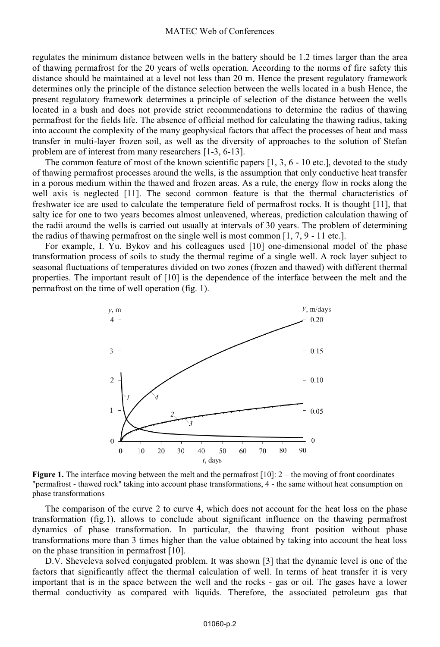regulates the minimum distance between wells in the battery should be 1.2 times larger than the area of thawing permafrost for the 20 years of wells operation. According to the norms of fire safety this distance should be maintained at a level not less than 20 m. Hence the present regulatory framework determines only the principle of the distance selection between the wells located in a bush Hence, the present regulatory framework determines a principle of selection of the distance between the wells located in a bush and does not provide strict recommendations to determine the radius of thawing permafrost for the fields life. The absence of official method for calculating the thawing radius, taking into account the complexity of the many geophysical factors that affect the processes of heat and mass transfer in multi-layer frozen soil, as well as the diversity of approaches to the solution of Stefan problem are of interest from many researchers [1-3, 6-13].

The common feature of most of the known scientific papers [1, 3, 6 - 10 etc.], devoted to the study of thawing permafrost processes around the wells, is the assumption that only conductive heat transfer in a porous medium within the thawed and frozen areas. As a rule, the energy flow in rocks along the well axis is neglected [11]. The second common feature is that the thermal characteristics of freshwater ice are used to calculate the temperature field of permafrost rocks. It is thought [11], that salty ice for one to two years becomes almost unleavened, whereas, prediction calculation thawing of the radii around the wells is carried out usually at intervals of 30 years. The problem of determining the radius of thawing permafrost on the single well is most common [1, 7, 9 - 11 etc.].

For example, I. Yu. Bykov and his colleagues used [10] one-dimensional model of the phase transformation process of soils to study the thermal regime of a single well. A rock layer subject to seasonal fluctuations of temperatures divided on two zones (frozen and thawed) with different thermal properties. The important result of [10] is the dependence of the interface between the melt and the permafrost on the time of well operation (fig. 1).



**Figure 1.** The interface moving between the melt and the permafrost [10]: 2 – the moving of front coordinates "permafrost - thawed rock" taking into account phase transformations, 4 - the same without heat consumption on phase transformations

The comparison of the curve 2 to curve 4, which does not account for the heat loss on the phase transformation (fig.1), allows to conclude about significant influence on the thawing permafrost dynamics of phase transformation. In particular, the thawing front position without phase transformations more than 3 times higher than the value obtained by taking into account the heat loss on the phase transition in permafrost [10].

D.V. Sheveleva solved conjugated problem. It was shown [3] that the dynamic level is one of the factors that significantly affect the thermal calculation of well. In terms of heat transfer it is very important that is in the space between the well and the rocks - gas or oil. The gases have a lower thermal conductivity as compared with liquids. Therefore, the associated petroleum gas that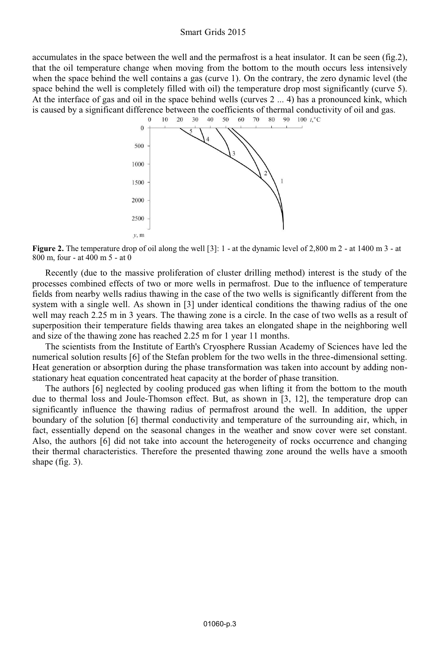#### Smart Grids 2015

accumulates in the space between the well and the permafrost is a heat insulator. It can be seen (fig.2), that the oil temperature change when moving from the bottom to the mouth occurs less intensively when the space behind the well contains a gas (curve 1). On the contrary, the zero dynamic level (the space behind the well is completely filled with oil) the temperature drop most significantly (curve 5). At the interface of gas and oil in the space behind wells (curves 2 ... 4) has a pronounced kink, which is caused by a significant difference between the coefficients of thermal conductivity of oil and gas.<br>  $0 \t 10 \t 20 \t 30 \t 40 \t 50 \t 60 \t 70 \t 80 \t 90 \t 100 \t \t 1\t \t 1\t \t 1\t \t 1\t \t 1\t \t 1\t \t 1\t \t 1\t \t 1\t \t 1\t \t$ 



**Figure 2.** The temperature drop of oil along the well [3]: 1 - at the dynamic level of 2,800 m 2 - at 1400 m 3 - at 800 m, four - at 400 m 5 - at 0

Recently (due to the massive proliferation of cluster drilling method) interest is the study of the processes combined effects of two or more wells in permafrost. Due to the influence of temperature fields from nearby wells radius thawing in the case of the two wells is significantly different from the system with a single well. As shown in [3] under identical conditions the thawing radius of the one well may reach 2.25 m in 3 years. The thawing zone is a circle. In the case of two wells as a result of superposition their temperature fields thawing area takes an elongated shape in the neighboring well and size of the thawing zone has reached 2.25 m for 1 year 11 months.

The scientists from the Institute of Earth's Cryosphere Russian Academy of Sciences have led the numerical solution results [6] of the Stefan problem for the two wells in the three-dimensional setting. Heat generation or absorption during the phase transformation was taken into account by adding nonstationary heat equation concentrated heat capacity at the border of phase transition.

The authors [6] neglected by cooling produced gas when lifting it from the bottom to the mouth due to thermal loss and Joule-Thomson effect. But, as shown in [3, 12], the temperature drop can significantly influence the thawing radius of permafrost around the well. In addition, the upper boundary of the solution [6] thermal conductivity and temperature of the surrounding air, which, in fact, essentially depend on the seasonal changes in the weather and snow cover were set constant. Also, the authors [6] did not take into account the heterogeneity of rocks occurrence and changing their thermal characteristics. Therefore the presented thawing zone around the wells have a smooth shape (fig. 3).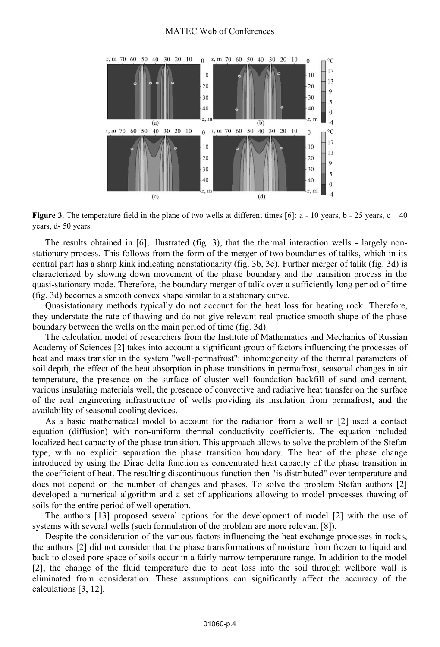#### MATEC Web of Conferences



**Figure 3.** The temperature field in the plane of two wells at different times [6]:  $a - 10$  years,  $b - 25$  years,  $c - 40$ years, d- 50 years

The results obtained in [6], illustrated (fig. 3), that the thermal interaction wells - largely nonstationary process. This follows from the form of the merger of two boundaries of taliks, which in its central part has a sharp kink indicating nonstationarity (fig. 3b, 3c). Further merger of talik (fig. 3d) is characterized by slowing down movement of the phase boundary and the transition process in the quasi-stationary mode. Therefore, the boundary merger of talik over a sufficiently long period of time (fig. 3d) becomes a smooth convex shape similar to a stationary curve.

Quasistationary methods typically do not account for the heat loss for heating rock. Therefore, they understate the rate of thawing and do not give relevant real practice smooth shape of the phase boundary between the wells on the main period of time (fig. 3d).

The calculation model of researchers from the Institute of Mathematics and Mechanics of Russian Academy of Sciences [2] takes into account a significant group of factors influencing the processes of heat and mass transfer in the system "well-permafrost": inhomogeneity of the thermal parameters of soil depth, the effect of the heat absorption in phase transitions in permafrost, seasonal changes in air temperature, the presence on the surface of cluster well foundation backfill of sand and cement, various insulating materials well, the presence of convective and radiative heat transfer on the surface of the real engineering infrastructure of wells providing its insulation from permafrost, and the availability of seasonal cooling devices.

As a basic mathematical model to account for the radiation from a well in [2] used a contact equation (diffusion) with non-uniform thermal conductivity coefficients. The equation included localized heat capacity of the phase transition. This approach allows to solve the problem of the Stefan type, with no explicit separation the phase transition boundary. The heat of the phase change introduced by using the Dirac delta function as concentrated heat capacity of the phase transition in the coefficient of heat. The resulting discontinuous function then "is distributed" over temperature and does not depend on the number of changes and phases. To solve the problem Stefan authors [2] developed a numerical algorithm and a set of applications allowing to model processes thawing of soils for the entire period of well operation.

The authors [13] proposed several options for the development of model [2] with the use of systems with several wells (such formulation of the problem are more relevant [8]).

Despite the consideration of the various factors influencing the heat exchange processes in rocks, the authors [2] did not consider that the phase transformations of moisture from frozen to liquid and back to closed pore space of soils occur in a fairly narrow temperature range. In addition to the model [2], the change of the fluid temperature due to heat loss into the soil through wellbore wall is eliminated from consideration. These assumptions can significantly affect the accuracy of the calculations [3, 12].